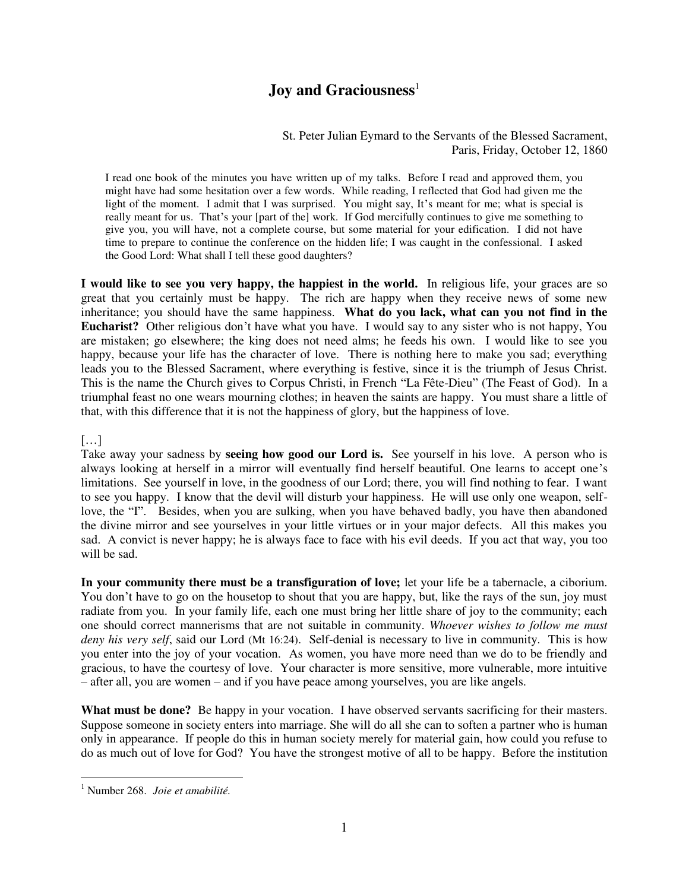## **Joy and Graciousness**<sup>1</sup>

## St. Peter Julian Eymard to the Servants of the Blessed Sacrament, Paris, Friday, October 12, 1860

I read one book of the minutes you have written up of my talks. Before I read and approved them, you might have had some hesitation over a few words. While reading, I reflected that God had given me the light of the moment. I admit that I was surprised. You might say, It's meant for me; what is special is really meant for us. That's your [part of the] work. If God mercifully continues to give me something to give you, you will have, not a complete course, but some material for your edification. I did not have time to prepare to continue the conference on the hidden life; I was caught in the confessional. I asked the Good Lord: What shall I tell these good daughters?

**I would like to see you very happy, the happiest in the world.** In religious life, your graces are so great that you certainly must be happy. The rich are happy when they receive news of some new inheritance; you should have the same happiness. **What do you lack, what can you not find in the Eucharist?** Other religious don't have what you have. I would say to any sister who is not happy, You are mistaken; go elsewhere; the king does not need alms; he feeds his own. I would like to see you happy, because your life has the character of love. There is nothing here to make you sad; everything leads you to the Blessed Sacrament, where everything is festive, since it is the triumph of Jesus Christ. This is the name the Church gives to Corpus Christi, in French "La Fête-Dieu" (The Feast of God). In a triumphal feast no one wears mourning clothes; in heaven the saints are happy. You must share a little of that, with this difference that it is not the happiness of glory, but the happiness of love.

## […]

Take away your sadness by **seeing how good our Lord is.** See yourself in his love. A person who is always looking at herself in a mirror will eventually find herself beautiful. One learns to accept one's limitations. See yourself in love, in the goodness of our Lord; there, you will find nothing to fear. I want to see you happy. I know that the devil will disturb your happiness. He will use only one weapon, selflove, the "I". Besides, when you are sulking, when you have behaved badly, you have then abandoned the divine mirror and see yourselves in your little virtues or in your major defects. All this makes you sad. A convict is never happy; he is always face to face with his evil deeds. If you act that way, you too will be sad.

**In your community there must be a transfiguration of love;** let your life be a tabernacle, a ciborium. You don't have to go on the housetop to shout that you are happy, but, like the rays of the sun, joy must radiate from you. In your family life, each one must bring her little share of joy to the community; each one should correct mannerisms that are not suitable in community. *Whoever wishes to follow me must deny his very self*, said our Lord (Mt 16:24). Self-denial is necessary to live in community. This is how you enter into the joy of your vocation. As women, you have more need than we do to be friendly and gracious, to have the courtesy of love. Your character is more sensitive, more vulnerable, more intuitive – after all, you are women – and if you have peace among yourselves, you are like angels.

**What must be done?** Be happy in your vocation. I have observed servants sacrificing for their masters. Suppose someone in society enters into marriage. She will do all she can to soften a partner who is human only in appearance. If people do this in human society merely for material gain, how could you refuse to do as much out of love for God? You have the strongest motive of all to be happy. Before the institution

 1 Number 268. *Joie et amabilité.*